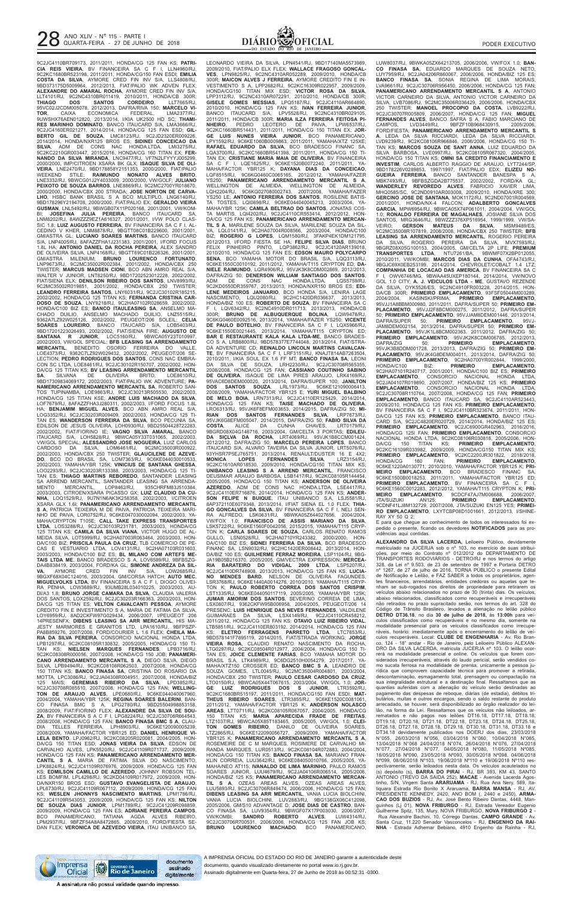

9C2JC4110BR709173, 2011/2011, HONDA/CG 125 FAN KS; **PATRI-CIA REIS VIEIRA**, BV FINANCEIRA SA C F I, LLN4960/RJ, 9C2KC1680BR523198, 2011/2011, HONDA/CG150 FAN ESDI; **EMILIA COSTA DA SILVA**, AYMORE CRED FIN INV S/A, LLS4808/RJ, 9BD373175D5009964, 2012/2013, FIAT/PALIO WK ADVEN FLEX; **ALEXANDRE DO AMARAL ROCHA**, AYMORE CRED FIN INV S/A, LLT4101/RJ, 9C2NC4310BR011419, 2010/2011, HONDA/CB 300R; **THIAGO DOS SANTOS CORDEIRO**, LLT7665/RJ, 95VC02J2CDM005078, 2012/2013, DAFRA/RIVA 150; **MARCELO VI-TOR**, CAIXA ECONOMICA FEDERAL, LMA2377/RJ, 9UWSHX76AEN012820, 2013/2014, I/KIA UK2500 HD SC; **THAMI-RES MARINHO DOMINATO**, BANCO ITAUCARD S/A, LMA3666/RJ, 9C2JC4160ER021271, 2014/2014, HONDA/CG 125 FAN ESD; **GIL-BERTO GIL DE SOUZA**, LMC8123/RJ, 9C2JD2320ER009226, 2014/2014, HONDA/NXR125 BROS ES; **SIDINEI CONCEICAO DA SILVA**, ADM DE CONS NAC HONDA.LTDA, LMI3275/RJ, 9C2KC2210GR003447, 2015/2016, HONDA/CG 160 TITAN EX; **FER-NANDO DA SILVA MIRANDA**, LNC9477/RJ, VF7N2LFYYYJ005299, 2000/2000, IMP/CITROEN XSARA BK GLX; **ISAQUE SILVA DE OLI-VEIRA**, LNE2470/RJ, 9BD178858Y2151353, 2000/2000, FIAT/PALIO WEEKEND STILE; **RAIMUNDO NONATO ALVES BRITO**, LNE3332/RJ, 9BWCG01J2Y4033009, 2000/2000, VW/GOLF; **JULIANO PEIXOTO DE SOUZA BARROS**, LNE8869/RJ, 9C2MC2700YR018670, 2000/2000, HONDA/CBX 200 STRADA; **JOSE NORTON DE CARVA-LHO**, HSBC BANK BRASIL S A BCO MULTIPLO, LNG6140/RJ, 9BD178296Y2194708, 2000/2000, FIAT/PALIO EX; **GERALDO VIEIRA GUSMAN**, LNL5492/RJ, 9BWGB07X11P020168, 2001/2001, VW/KOM-BI; **JOSEFINA JULIA PEREIRA**, BANCO ITAUCARD SA, LNM8202/RJ, 8AWZZZ9EZ1A616327, 2001/2001, I/VW POLO CLAS-SIC 1.8; **LUIZ AUGUSTO FERREIRA**, BV FINANCEIRA SA C F I, AL-CEDINO V KHER, LNM8878/RJ, 9BGTT08C01B229600, 2001/2001, GM/ASTRA GL; **LUCIANO SOARES MARTINS**, BANCO ITAUCARD S/A, LNP4005/RJ, 8AFAZZFHA1J231383, 2001/2001, I/FORD FOCUS 1.8L HA; **ANTONIO DANIEL DA ROCHA PEREIRA**, ALEX SANDRO DE OLIVEIRA SILVA, LNP4168/RJ, 9BGTT69C01B226326, 2001/2001, GM/ASTRA MILENIUM; **BRUNO LOURENCO FORTUNATO**, LNP9673/RJ, 9C2MC35002R002384, 2001/2002, HONDA/CBX 250 TWISTER; **MARCUS MADSEN CIONI**, BCO ABN AMRO REAL S/A, WALTER V JUNIOR, LNT8250/RJ, 9BD17202523012228, 2002/2002, FIAT/SIENA ELX; **DENILSON RIBEIRO DOS SANTOS**, LNV8993/RJ, 9C2MC35002R019851, 2001/2002, HONDA/CBX 250 TWISTER; **LEANDRO FERREIRA SANTOS**, LNY6031/RJ, 9C2JC30102R185215, 2002/2002, HONDA/CG 125 TITAN KS; **FERNANDA CRISTINA CAR-DOSO DE SOUZA**, LNY9218/RJ, 9C2HA07102R028659, 2002/2002, HONDA/C100 BIZ ES; **BANCO ITAULEASING SA**, ANSELMO MA-CHADO DUILIO, ANSELMO MACHADO DUILIO, LNZ5515/RJ, 9362A7LZ92W025126, 2002/2002, PEUGEOT/206 SOLEIL; **CELIA SOARES LOUREIRO**, BANCO ITAUCARD S/A, LOB5403/RJ, 9BD17201223026493, 2002/2002, FIAT/SIENA FIRE; **AUGUSTO DE SANTANA R JUNIOR**, LOC5160/RJ, 9BWCA05Y23T010997, 2002/2003, VW/GOL SPECIAL; **BFB LEASING SA ARRENDAMENTO MERCANTIL**, BENEDITO OSORIO FERREIRA DO VALLE, LOE4373/RJ, 9362C7LZ92W029432, 2002/2002, PEUGEOT/206 SE-LECTION; **PEDRO RODRIGUES DOS SANTOS**, CONS NAC EMBRA-CON SC LTDA, LOE8461/RJ, 9C2JC30102R150707, 2002/2002, HON-DA/CG 125 TITAN KS; **BV LEASING ARRENDAMENTO MERCANTIL SA**, SILVANA DE OLIVEIRA BRITO, LOE8610/RJ, 9BD17309834069172, 2002/2003, FIAT/PALIO WK ADVENTURE; **PA-NAMERICANO ARRENDAMENTO MERCANTIL SA**, ROBERTO SAN-TOS TUPINAMBA, LOE9863/RJ, 9C2JC30213R505530, 2002/2003, HONDA/CG 125 TITAN KSE; **ANDRE LUIS MACHADO DA SILVA**, LOF7679/RJ, 8AFAZZFHA3J280311, 2002/2003, I/FORD FOCUS 1.8L HA; **BENJAMIM MIGUEL ALVES**, BCO ABN AMRO REAL S/A, LOG3352/RJ, 9C2JC30203R009409, 2002/2003, HONDA/CG 125 TI-TAN ES; **WANDERSON FERREIRA DA SILVA**, BCO PECUNIA SA, EDILSON DE JESUS OLIVEIRA, LOH0930/RJ, 9BD25504428722283, 2002/2002, FIAT/FIORINO IE; **VAGNO SILVA AMARAL**, BANCO ITAUCARD S/A, LOH5828/RJ, 9BWCA05Y33T031065, 2002/2003, VW/GOL SPECIAL; **ALESSANDRO JOSE NOGUEIRA**, LUIZ CARLOS CARDOSO DA SILVA, LOM6461/RJ, 9C2MC35003R000922, 2002/2003, HONDA/CBX 250 TWISTER; **GLAUCILENE DE AZEVE-DO**, BCO DO BRASIL SA, LOM7363/RJ, 9C6KE044030010533, 2002/2003, YAMAHA/YBR 125K; **VINICIUS DE SANTANA GHESSA**, LOO2293/RJ, 9C2JC30203R133388, 2003/2003, HONDA/CG 125 TI-TAN ES; **THIAGO MARTINS REBOREDO**, SANTANDER LEASING SA ARREND MERCANTIL, SANTANDER LEASING SA ARRENDA-MENTO MERCANTIL, LOP8462/RJ, 935CHRFM83J510384, 2003/2003, CITROEN/XSARA PICASSO GX; **LUIZ CLAUDIO DA CU-NHA**, LOQ1529/RJ, 9U7N1N6AK3K258358, 2002/2003, I/CITROEN XSARA GLX 1.6I; **PANAMERICANO ARRENDAMENTO MERCANTIL S A**, PATRICIA TEIXEIRA M DE PAIVA, PATRICIA TEIXEIRA MARI-NHO DE PAIVA, LOR0752/RJ, 9C6KE047030002094, 2002/2003, YA-MAHA/CRYPTON T105E; **CALL TAKE EXPRESS TRANSPORTES LTDA**, LOS3288/RJ, 9C2JC30103R231781, 2003/2003, HONDA/CG 125 TITAN KS; **CAMILA DA SILVA VIANA**, VICTOR HUGO DE AL-MEIDA SILVA, LOT5999/RJ, 9C2HA07003R063464, 2003/2003, HON-DA/C100 BIZ; **PRISCILA PAULA DA CRUZ**, TLB COMERCIO DE PE-CAS E VESTUARIO LTDA, LOV4131/RJ, 9C2HA07103R031603, 2003/2003, HONDA/C100 BIZ ES; **BL MILANO COM ARTEFS ME-TAIS LTDA ME**, BANCO BRADESCO S A, LOV6589/RJ, 9BFBSZG-DA4B838419, 2003/2004, FORD/KA GL; **SIMONE ANDREZA DA SIL-VA**, AYMORE CRED FIN INV S/A, LOW2685/RJ, 9BGXF68X04C124016, 2003/2004, GM/CORSA HATCH; **AUTO MEC. MIGUELVOLKS LTDA**, BV FINANCEIRA S A C F I, DIOGO OLIVEI-RA PENHA, LOW3689/RJ, 93UMB28L034010225, 2003/2003, AU-DI/A3 1.8; **BRUNO JORGE CAMARA DA SILVA**, CLAUDIA VALERIA DOS SANTOS, LOX2592/RJ, 9C2JC30203R166363, 2003/2003, HON-DA/CG 125 TITAN ES; **VELTON CAVALCANTI PESSOA**, AYMORE CREDITO FIN E INVESTIMENTO S A, MARIA DE FATIMA DA SILVA, LOY6959/RJ, 8AD2CKFW97G029434, 2006/2007, I/PEUGEOT 206 14PRESENFX; **DIBENS LEASING SA ARR MERCANTIL**, HIS MA-JESTY MARMORES E GRANITOS LTD, LPA1610/RJ, 9BFPSZP-PA8B859276, 2007/2008, FORD/COURIER L 1.6 FLEX; **CHEILA MA-RIA DA SILVA PEREIRA**, CONSORCIO NACIONAL HONDA LTDA, LPB1297/RJ, 9C2KC08105R130832, 2005/2005, HONDA/CG 150 TI-TAN KS; **NIELSEN MARQUES FERNANDES**, LPB3716/RJ, 9C2KC08308R000056, 2007/2008, HONDA/CG 150 JOB; **PANAMERI-CANO ARRENDAMENTO MERCANTIL S A**, DIEGO SILVA, DIEGO SILVA, LPB9494/RJ, 9C2KC08108R062503, 2007/2008, HONDA/CG 150 TITAN KS; **BANCO FINASA SA**, CRISTINA DO ROSARIO DA MOTTA, LPC3086/RJ, 9C2JA04308R004951, 2007/2008, HONDA/BIZ 125 MAIS; **GEREMIAS RIBEIRO DA SILVA**, LPD3852/RJ, 9C2JC30708R085510, 2007/2008, HONDA/CG 125 FAN; **WELLING-TON DE ARAUJO ALVES**, LPE0680/RJ, 9C6KE044040067960, 2004/2004, YAMAHA/YBR 125K; **REGINA SOARES BALERINI**, BAN-CO FINASA BMC S A, LPG2780/RJ, 9BD25504998853158, 2008/2009, FIAT/FIORINO FLEX; **ALEXANDRE DA SILVA DE SOU-ZA**, BV FINANCEIRA S A C F I, LPG8224/RJ, 9C2JC30708R664543, 2008/2008, HONDA/CG 125 FAN; **BANCO FINASA BMC S A**, CLAU-DIA TELLES FERREIRA, LPH8903/RJ, 9C6KE120090005239, 2008/2009, YAMAHA/FACTOR YBR125 ED; **DANIEL HENRIQUE VI-LELA BENTO**, LPJ0962/RJ, 9C2KC08205R020081, 2004/2005, HON-DA/CG 150 TITAN ESD; **JONAS VIEIRA DA SILVA**, EDSON DE CARVALHO ALVES, LPK5520/RJ, 9C2JC41109R071737, 2009/2009, HONDA/CG 125 FAN KS; **PANAMERICANO ARRENDAMENTO MER-CANTIL S A**, MARIA DE FATIMA SILVA DO NASCIMENTO, LPK8824/RJ, 9C2JC41109R076976, 2009/2009, HONDA/CG 125 FAN KS; **EDMILSON CAMILLO DE AZEREDO**, JOHNNY ROBSON TEL-LES BOMFIM, LPL4298/RJ, 9C2KD04109R017972, 2009/2009, HON-DA/NXR150 BROS ESD; **GUSTAVO EVANGELISTA DE ARAUJO**, LPL6730/RJ, 9C2JC41109R067112, 2009/2009, HONDA/CG 125 FAN KS; **WESLEN JHONNYS NASCIMENTO MARTINS**, LPM1786/RJ, 9C2JC41109R543053, 2009/2009, HONDA/CG 125 FAN KS; **NILTON DE SOUZA DIAS JUNIOR**, LPM1789/RJ, 9C2JC41209R098859, 2009/2009, HONDA/CG 125 FAN ES; **ADRIANE PEREIRA CAMPOS**, PANAMERICANO, TATIANA AGDA ALVES LPM2937/RJ, 9BFZF54A8A8472865, 2009/2010, FORD/FIESTA SE-DAN FLEX; **VERONICA DE AZEVEDO VIEIRA**, ITAU UNIBANCO SA, LEONARDO VIEIRA DA SILVA, LPN4541/RJ, 9BD17140MA5573989, 2009/2010, FIAT/PALIO ELX FLEX; **WALLACE FRAGOSO GONCAL-VES**, LPN9825/RJ, 9C2NC4310AR052289, 2009/2010, HONDA/CB 300R; **MAICON ALVES J FERREIRA**, AYMORE CREDITO FIN E IN-VESTIMENTO S A, LPP2682/RJ, 9C2KC16309R022957, 2009/2009, HONDA/CG150 TITAN MIX ESD; **VICTOR ROSA DA SILVA**, LPP3112/RJ, 9C2NC4310AR072291, 2010/2010, HONDA/CB 300R; **GISELE GOMES MESSIAS**, LPQ5187/RJ, 9C2JC4110AR664890, 2010/2010, HONDA/CG 125 FAN KS; **IVAN FERREIRA JUNIOR**, BANCO ITAUCARD S/A, LPV5528/RJ, 9C2NC4310BR029105, 2011/2011, HONDA/CB 300R; **MARIA ILZA FERREIRA FEITOSA PI-NHEIRO**, PEDRO LEOTERO DE PAIVA, LPW6537/RJ, 9C2KC1660BR514431, 2011/2011, HONDA/CG 150 TITAN EX; **JOR-GE LUIS NUNES VIEIRA JUNIOR**, BCO PANAMERICANO, LPY1592/RJ, 9C6KE1060B0009863, 2011/2011, YAMAHA/XTZ 125XE;<br>**RAFAEL EDUARDO DA SILVA**, BCO BRADESCO FINANC SA,<br>LQA3700/RJ, 9C2KC1660BR541398, 2011/2011, HONDA/CG 150 TI-TAN EX; **CRISTIANE MARIA MAIA DE OLIVEIRA**, BV FINANCEIRA SA C F I, LQE1625/RJ, 9C6KE1520B0072240, 2011/2011, YA-MAHA/FACTOR YBR125 K; **DAYANA DIAS DA CONCEICAO**, 9C6KG0460C0065165, 2012/2012, YAMAHA/FAZER YS250; **PANAMERICANO ARRENDAMENTO MERCANTIL S A**, WELLINGTON DE ALMEIDA, WELLINGTON DE ALMEIDA, LQH2204/RJ, 9C6KG027080002743, 2007/2008, YAMAHA/FAZER YS250 LE; **ANTONIO FERREIRA DOS SANTOS**, ROSILENE BATIS-TA TOSTES, LQI0898/RJ, 9C6KE044040045213, 2003/2004, YA-MAHA/YBR 125K; **CAMILA BELTRAO DO SANTOS**, JONATAS COS-TA MARTIS, LQI4202/RJ, 9C2JC4110CR553414, 2012/2012, HON-DA/CG 125 FAN KS; **PANAMERICANO ARRENDAMENTO MERCAN-TIL S A**, MARILENE SOUZA DA SILVA, MARILENE SOUZA DA SIL-VA, LQL0141/RJ, 9C2HA07004R008566, 2003/2004, HONDA/C100 BIZ; **ROGERIO G LOPES**, LQM1580/RJ, 3FAKP4EK1DM121795, 2012/2013, I/FORD FIESTA SE HA; **FELIPE SILVA DIAS**, BRUNO FELIX PINHEIRO PINTO, LQP3862/RJ, 9C2JC4120AR139018, 2010/2010, HONDA/CG 125 FAN ES; **EDSON MAURO POLYCARPO SENA**, BCO YAMAHA MOTOR DO BRASIL S/A, LQQ3113/RJ, 9C6KE1550C0010192, 2011/2012, YAMAHA/T115 CRYPTON ED; **DA-NIELE RAIMUNDO**, LQR4906/RJ, 95VJK3K8CDM002869, 2012/2013, DAFRA/ZIG 50; **DENERSON WILLIAM SANTIAGO DOS SANTOS**, CONS NAC HONDA.LTDA, LQS5759/RJ, 9C2KD0550DR359767, 2013/2013, HONDA/NXR150 BROS ES; **EDI-LENE MEDEIROS JANUARIO**, BCO HONDA S/A, LENIRA LAGE NASCIMENTO, LQU2080/RJ, 9C2HC1420DR036637, 2013/2013, HONDA/BIZ 100 ES; **ROBERTO DE SOUZA**, BV FINANCEIRA SA C F I, LQV6342/RJ, 9C2NC4910DR011713, 2013/2013, HONDA/CB 300R; **BRUNO DE ALBUQUERQUE BOLINA**, LQW9478/RJ, 9C6KG0460E0092516, 2013/2014, YAMAHA/FAZER YS250; **VICENTE DE PAULO BOTELHO**, BV FINANCEIRA SA C F I, LQX5966/RJ, 9C6KE1550E0021445, 2013/2014, YAMAHA/T115 CRYPTON ED; **BAR E RESTAURANTE KALA KALA LTDA-ME**, BANCO BRADES-CO S A, LRB8800/RJ, 9BD578377E7744048, 2013/2014, FIAT/STRA-DA ADVENTURE CD; **REINALDO LINCOLN MARTINS CAVALCAN-TE**, BV FINANCEIRA SA C F I, LRF3151/RJ, KNAJT814AB7263504, 2010/2011, I/KIA SOUL EX 1.6 FF MT; **BANCO FINASA SA**, LEONI DA SILVA DE SOUZA, LRH2230/RJ, 9C2JC30708R565355, 2008/2008, HONDA/CG 125 FAN; **CASSIANO COUTINHO SABINO DE OLIVEIRA**, ISAQUE DE LIMA PIRES ARAUJO, LRK4169/RJ, 95VAC6D8DEM000020, 2013/2014, DAFRA/SUPER 100; **JANILTON DOS SANTOS SOUZA**, LRL1973/RJ, 9C6KE121090006413, 2008/2009, YAMAHA/FACTOR YBR125 E; **YURI MIGUEL BALBINO DE MELO BOIA**, LRN7313/RJ, 9C2JC4110ER125429, 2014/2014, HONDA/CG 125 FAN KS; **TAISE MACHADO DE OLIVEIRA**, LRO6313/RJ, 95VJK6F8EFM003653, 2014/2015, DAFRA/ZIG 50; **MI-**RIAN DOS SANTOS FERNANDES SILVA. 95VJK6G8EFM005047, 2014/2015, DAFRA/ZIG 50; **FABIO SILVA DA COSTA**, ALICE DA CUNHA CHAVES, LRT0179/RJ, 9BGRD08X04G146716, 2003/2004, GM/CELTA 3 PORTAS; **EDILEU-DA SIÇLVA DA ROCHA**, LRT4069/RJ, 95VJK1B8CCM001424, 2012/2012, DAFRA/ZIG 50; **MARCELO PEREIRA LOPES**, BANCO ITAUCARD S/A, ALVARO TAVEIRA DA SILVA JUNIOR, LRT5076/RJ, 93YHSR7P5EJ765751, 2013/2014, RENAULT/DUSTER 16 E 4X2;<br>**MONICA LOPES FERNANDES SILVA**, LRZ3154/RJ, **MONICA LOPES FERNANDES SILVA**, LRZ3154/RJ, 9C2KC1610AR018530, 2009/2010, HONDA/CG150 TITAN MIX KS; **UNIBANCO LEASING S A ARREND MERCANTIL**, FRANCISCO DEUSIMAR ARAUJO BARBOSA, LSB1417/RJ, 9C2KC08105R144454, 2005/2005, HONDA/CG 150 TITAN KS; **ANDERSON DE OLIVEIRA AZEREDO**, ADM DE CONS NAC HONDA.LTDA, LSE4417/RJ, 9C2JC4110ER716876, 2014/2014, HONDA/CG 125 FAN KS; **ANDER-SON FELIPE N BUIQUE**, ITAU UNIBANCO S.A, LSJ5581/RJ, 8AP372110E6079348, 2013/2014, I/FIAT SIENA EL 1.0 FLEX; **THIA-GO GONCALVES DA SILVA**, BV FINANCEIRA SA C F I, NELI SEN-RA ALFREDO, LSK0631/RJ, 9BWKA05Z644027656, 2004/2004, VW/FOX 1.0; **FRANCISCO DE ASSIS MARIANO DA SILVA**, LSK5722/RJ, 9C6KE1560F0042056, 2015/2015, YAMAHA/T115 CRYP-TON K; **CARLA SOARES DE SOUZA**, CARLOS RENATO RAMOS GULLO, LSN0528/RJ, 9C2HA0710YR243382, 2000/2000, HON-DA/C100 BIZ ES; **SIDNEI FERREIRA DA SILVA**, BCO BRADESCO FINANC SA, LSN9032/RJ, 9C2HC1420ER008442, 2013/2014, HON-DA/BIZ 100 ES; **GUILHERME FERRAZ MOREIRA**, LSP1104/RJ, 9BG-JA19B05B216370, 2005/2005, GM/VECTRA EXPRESSION; **MERCEA-RIA BARATEIRO DO VIDIGAL 2009 LTDA**, LSP5207/RJ, 9C2JC4110DR748908, 2013/2013, HONDA/CG 125 FAN KS; **LUCIA-NO MENDES BARD**, NELSON DE OLIVEIRA FAGUNDES, LSR3768/RJ, 9C6KE1440A0014276, 2010/2010, YAMAHA/T115 CRYP-TON K; **PAULO ROBERTO CORREA DOS SANTOS CRISPIM**, LST1335/RJ, 9C6KE044050117119, 2005/2005, YAMAHA/YBR 125K; **JUMAR AMORIM DOS SANTOS**, SEVERINO CORREIA DE LIMA, LSX0807/RJ, 9362CKFW95B006958, 2004/2005, PEUGEOT/206 14 PRESENC; **LUIS HENRIQUE DAS NEVES FERNANDES**, VALDILENE GUIMARAES DA SILVA, LSX4149/RJ, 9C2JC4110CR458212, 2011/2012, HONDA/CG 125 FAN KS; **OTAVIO LUIZ RIBEIRO VIDAL**, LTB5851/RJ, 9C2JC4110ER803192, 2014/2014, HONDA/CG 125 FAN KS; **ELETRO FERRAGENS PARRETO LTDA**, LTC7653/RJ, 9BD578141F7895119, 2014/2015, FIAT/STRADA WORKING; **JORGE VIEIRA ROSA**, CLAUDIO RENATO NASCIMENTO DA ROCHA, LTG0297/RJ, 9C2KC08504R012977, 2004/2004, HONDA/CG 150 TI-TAN ES; **JOICE CLEMENTE FARIAS**, BCO YAMAHA MOTOR DO S.A, LTK4989/RJ, 9C6DG2510H0054279, 2017/2017, MAHA/XTZ150 CROSSER ED; **BANCO BMC S A**, LEANDRO DE SOUZA GOMES, LTL0045/RJ, 9C2MC35004R004801, 2003/2004, HONDA/CBX 250 TWISTER; **PAULO CESAR CARDOSO DA CRUZ**, LTO0150/RJ, 9BWCA05X44T067615, 2003/2004, VW/GOL 1.0; **JOR-**RODRIGUES DOS 9C2KC1680BR515197, 2011/2011, HONDA/CG150 FAN ESDI; **MAT-THEUS RIBEIRO SOARES**, LTR3855/RJ, 9C6KE1520C0081061, 2011/2012, YAMAHA/FACTOR YBR125 K; **ANDERSON NOLASCO AREAS**, LTT0711/RJ, 9C2KC08105R067057, 2004/2005, HONDA/CG 150 TITAN KS; **MARIA APARECIDA FRADE DE FREITAS**, LTZ1037/RJ, 9BWCA05X85T183465, 2005/2005, VW/GOL 1.0; **CLEI-TON GOMES RIBEIRO**, DANILO DE OLIVEIRA SOARES, LTZ2865/RJ, 9C6KE122090056727, 2009/2009, YAMAHA/FACTOR YBR125 K; **PANAMERICANO ARRENDAMENTO MERCANTIL S A**, ROSEMEIRE DE C M MARQUES, ROSIMERE DE CARVALHO MI-RANDA MARQUES, LUR0513/RJ, 9C2KC08104R072883, 2004/2004, HONDA/CG 150 TITAN KS; **BANCO FINASA SA**, MARIANO FRAN-KLIN CORREIA, LUU3642/RJ, 9C6KE084050010766, 2005/2005, YA-MAHA/NEO AT115; **IVANALDO DE LIMA MARINHO**, PAULO RAMOS SOARES JUNIOR, LUU4679/RJ, 9C2JA04106R006514, 2005/2006, HONDA/BIZ 125 KS; **PANAMERICANO ARRENDAMENTO MERCAN-TIL S A**, OZEAS AREAS ALVES, OZEAS AREAS ALVES, LUU5893/RJ, 9C2JC30706R849474, 2006/2006, HONDA/CG 125 FAN; **DIBENS LEASING SA ARR MERCANTIL**, VANIA LUCIA BIOLCHINI, VANIA LUCIA BIOLCHINI, LUV2883/RJ, 9BG138GX06C412098, 2005/2006, GM/S10 ADVANTAGE D; **JOSE DIAS DE CASTRO**, BAN-CO FINASA SA, LUV9354/RJ, 9BWGF07X17P003030, 2006/2007, VW/KOMBI; SANDRO ROBERTO ALVES, LUW4314/RJ. SANDRO ROBERTO 9C2JC30706R700531, 2006/2006, HONDA/CG 125 FAN JOB KS; **BRUNO LOURENCO MACHADO**, BCO PANAMERICANO,

LUW8037/RJ, 9BWKA05ZX64213705, 2006/2006, VW/FOX 1.0; **BAN-CO FINASA SA**, EDUARDO MARQUES DE SOUZA NETO, LUY7959/RJ, 9C2JA04206R860067, 2006/2006, HONDA/BIZ 125 ES; **BANCO FINASA SA**, SONIA REGINA DE LIMA MORAIS, LVA9661/RJ, 9C2JC30706R956450, 2006/2006, HONDA/CG 125 FAN; **PANAMERICANO ARRENDAMENTO MERCANTIL S A**, ANTONIO VICTOR CARNEIRO DA SILVA, ANTONIO VICTOR CARNEIRO DA SILVA, LVB7086/RJ, 9C2MC35006R036429, 2006/2006, HONDA/CBX 250 TWISTER; **MANOEL PROCOPIO DA COSTA**, LVB9222/RJ, 9C2JC30707R005809, 2006/2007, HONDA/CG 125 FAN; **MIGUEL FERNANDES ALVES**, BANCO SAFRA S A, FABIO MARCIANO DE CAMPOS, LVD3449/RJ, 9BFZF10B968430915, 2005/2006, FORD/FIESTA; **PANAMERICANO ARRENDAMENTO MERCANTIL S A**, LEDA DA SILVA RICCIARDI, LEDA DA SILVA RICCIARDI, LVD9239/RJ, 9C2KC08106R966846, 2006/2006, HONDA/CG 150 TI-TAN KS; **MARCOS SOUZA DE SANT ANNA**, LUIZ EDUARDO DA SILVA BARBOSA, LVE0997/RJ, 9C2KC08105R067320, 2004/2005 HONDA/CG 150 TITAN KS; **OMNI SA CREDITO FINANCIAMENTO E INVESTIM**, CARLOS ALBERTO RAGGIO DE ARAUJO, LYT7244/SP, 9BD178226V0289853, 1997/1997, FIAT/PALIO EDX; **ELIZEU NO-GUEIRA FERREIRA**, BANCO SANTANDER BANESPA S A, MBK7493/RJ, 9BFBSZGDA2B775537, 2002/2002, FORD/KA GL; **WANDERLEY REVOREDO ALVES**, FABRICIO XAVIER LIMA, MHQ0585/SC, 9C2ND0910AR003008, 2009/2010, HONDA/XRE 300; **GERCINO JOSE DE SANTANA**, MOK1172/RJ, 9C2ND07001R004569, 2001/2001, HONDA/NX-4 FALCON; **ADALBERTO GONCALVES GARCIA**, MPW6954/RJ, 9BWCA05X74P061011, 2004/2004, VW/GOL 1.0; **RONALDO FERREIRA DE MAGALHAES**, JOSIANE SILVA DOS SANTOS, MRG3646/RJ, 9BWZZZ376XP516954, 1999/1999, VW/SA-VEIRO; **GERSON MATEUS DA SILVA**, MSM9489/ES, 9C2MC35008R107819, 2008/2008, HONDA/CBX 250 TWISTER; **BFB LEASING SA ARRENDAMENTO MERCANTIL**, ROGERIO PEREIRA ROGERIO PEREIRA DA SILVA, MVX7593/RJ, 9BGRZ08X05G100153, 2004/2005, GM/CELTA 2P LIFE; **PREMIUM TRANSPORTES LTDA**, NTU7261/BA, 9BWMF07X2BP012055, 2010/2011, VW/KOMBI; **MARCOS DIAS DA CUNHA**, OFA4743/RJ, 9BGJC69X0EB253199, 2014/2014, CHEVROLET/COBALT 1.4 LTZ; **COMPANHIA DE LOCACAO DAS AMERICA**, BV FINANCEIRA SA C F I, OWV6746/MG, 9BWAA45UXEP180144, 2014/2014, VW/NOVO GOL 1.0 CITY; **A. J. VEICULOS LTDA - ME**, GUSTAVO REZENDE DA SILVA, OYK5526/ES, 9C2NC4910FR003228, 2014/2015, HON-DA/CB 300R; **PRIMEIRO EMPLACAMENTO**, 93FSF05044M003289, 2004/2004, KASINSKI/PRIMA; **PRIMEIRO EMPLACAMENTO**, 95VJJ1A8BBM000980, 2011/2011, DAFRA/SUPER 50; **PRIMEIRO EM-PLACAMENTO**, 95VJJ2F8BCM000275, 2011/2012, DAFRA/SUPER 50; **PRIMEIRO EMPLACAMENTO**, 95VJJAM8DEM001446, 2013/2014, DAFRA/SUPER 50; **PRIMEIRO EMPLACAMENTO**, 95VJ-JAM8DEM002154, 2013/2014, DAFRA/SUPER 50; **PRIMEIRO EM-PLACAMENTO**, 95VJK1L8BCM002363, 2011/2012, DAFRA/ZIG 50; **PRIMEIRO EMPLACAMENTO**, 95VJK2K8CDM006785, 2012/2013, DAFRA/ZIG 50; **PRIMEIRO EMPLACAMENTO**, 95VJK3B8DDM001728, 2013/2013, DAFRA/ZIG 50; **PRIMEIRO EM-PLACAMENTO**, 95VJK4G8DEM004011, 2013/2014, DAFRA/ZIG 50; **PRIMEIRO EMPLACAMENTO**, 9C2HA0700YR002844, 1999/2000, HONDA/C100 BIZ; **PRIMEIRO EMPLACAMENTO**, 9C2HA07101R240717, 2001/2001, HONDA/C100 BIZ ES; **PRIMEIRO** EMPLACAMENTO, CONSORCIO NACIONAL HONDA LTDA,<br>9C2JA04107R019890, 2007/2007, HONDA/BIZ 125 KS; PRIMEIRO,<br>EMPLACAMENTO, CONSORCIO NACIONAL HONDA LTDA,<br>9C2JC30708R110764, 2007/2008, HONDA/CG 125 FAN; PRIMEIRO<br>EMPLACAMENTO, BAN 2009/2010, HONDA/CG 125 FAN KS; **PRIMEIRO EMPLACAMENTO**, BV FINANCEIRA SA C F I, 9C2JC4110BR323674, 2011/2011, HON-DA/CG 125 FAN KS; **PRIMEIRO EMPLACAMENTO**, BANCO ITAU-CARD S/A, 9C2JC4820ER020729, 2014/2014, HONDA/BIZ 125 ES; **PRIMEIRO EMPLACAMENTO**, 9C2JC6900GR402963, 2016/2016, HONDA/CG 125I FAN; **PRIMEIRO EMPLACAMENTO**, CONSORCIO NACIONAL HONDA LTDA, 9C2KC08106R030818, 2005/2006, HON-<br>DA/CG 150 TITAN KS; PRIMEIRO EMPLACAMENTO, DA/CG 150 TITAN KS; **PRIMEIRO EMPLACAMENTO**, 9C2KC16109R033982, 2009/2009, HONDA/CG150 TITAN MIX KS; **PRIMEIRO EMPLACAMENTO**, 9C2KC2200JR301822, 2018/2018,<br>HONDA/CG 160 FAN; **PRIMEIRO EMPLACAMENTO**, HONDA/CG 160 FAN; PRIMEIRO EMPLACAMENTO,<br>9C6KE1220A0130771, 2010/2010, YAMAHA/FACTOR YBR125 K; PRI-<br>MEIRO EMPLACAMENTO, BCO BRADESCO FINANC SA,<br>9C6KE1500B0018253, 2011/2011, YAMAHA/FACTOR YBR125 ED;<br>PRIMEIRO EMPLACAMENTO, 9C6KE1560C0012283, 2012/2012, YAMAHA/T115 CRYPTON K; **PRI-MEIRO EMPLACAMENTO**, 9CDCF47AJ7M006688, 2006/2007, JTA/SUZUKI AN125; **PRIMEIRO EMPLACAMENTO**, 9CDNF41LJ8M132729, 2007/2008, JTA/SUZUKI EN125 YES; **PRIMEI-RO EMPLACAMENTO**, LXYTCBP08D1001661, 2012/2013, I/SHINE-RAY XY 50 Q 2;

E para que chegue ao conhecimento de todos os interessados foi ex-pedido o presente, ficando os devedores **NOTIFICADOS** para as providências aqui contidas.

**ALEXANDRO DA SILVA LACERDA,** Leiloeiro Público, devidamente matriculado na JUCERJA sob o nº 103, no exercício de suas atribui-ções, por meio do Contrato nº 012/2012 do DEPARTAMENTO DE TRANSPORTES RODOVIÁRIOS - DETRO/RJ e nos termos do artigo 328, da Lei nº 9.503, de 23 de setembro de 1997 e Portaria DETRO nº 1267, de 27 de julho de 2016, TORNA PÚBLICO o presente Edital de Notificação e Leilão, e FAZ SABER a todos os proprietários, agentes financeiros, arrendatários, entidades credoras ou aquelas que tenham se sub-rogados nos direitos de propriedade para retirarem os veículos abaixo relacionados no prazo de 30 (trinta) dias. Os veículos, abaixo relacionados, classificados como recuperáveis e irrecuperáveis não retirados no prazo supracitado serão, nos termos do art. 328 do Código de Trânsito Brasileiro, levados a alienação no leilão público **DETRO DT36.18**, no dia **30 de julho de 2018,** às **13:00h** para veículos classificados como recuperáveis e no mesmo dia, somente na modalidade presencial para os veículos classificados como irrecuperáveis, horário: imediatamente após o encerramento do leilão de veículos recuperáveis. Local: **CLUBE DE ENGENHARIA** - Av. Rio Branco, 124 - 18° andar - Rio de Janeiro, pelo Leiloeiro Público ALEXAN-DRO DA SILVA LACERDA, matricula JUCERJA nº 103. O leilão ocorrerá na modalidade presencial e online. Os veículos que forem considerados irrecuperáveis, através do laudo pericial, serão vendidos como sucata ferrosa na modalidade de prensa, unicamente a pessoa jurídica que comprovem capacidade técnica para promover a retirada, descontaminação, esmagamento total, prensagem ou compactação na sua integralidade estrutural e a destinação final. Ressaltamos que as quantias auferidas com a alienação do veículo serão destinadas ao pagamento das despesas de reboque, diárias (de estadia), débitos tributários, multas e outros encargos, sendo o saldo restante do produto arrecadado, se houver, será disponibilizado ao órgão realizador do leilão, na forma da Lei. Ressaltamos que os veículos não leiloados, arrematados e não pagos nos leilões DT16.18, DT17.18, DT18.18, DT19.18, DT20.18, DT21.18, DT22.18, DT23.18, DT24.18, DT25.18, DT26.18, DT27.18, DT28.18, DT29.18, DT30.18, DT31.18, DT33.18 e DT34.18 devidamente publicados nos DOERJ dos dias, 23/03/2018 N°055, 26/03/2018 N°056, 03/04/2018 N°060, 10/04/2018 N°065, 13/04/2018 N°068 24/04/2018 N°074, 26/04/2018 N°076, 27/04/2018 N°077, 27/04/2018 N°077, 04/05/2018 Nº080, 11/05/2018 Nº085, 18/05/2018 Nº090, 23/05/2018 Nº093, 30/05/2018 Nº098, 04/06/2018 Nº099, 08/06/2018 Nº103, 19/06/2018 Nº110 e 19/06/2018 Nº110 respectivamente, serão leiloados nesta data. Os veículos acautelados no (s) depósito (s), **BARRA DO PIRAI** - RJ, BR 393, KM 43, SANTO ANTONIO (TREVO DA SAIDA 252), **MACAE** - Avenida Lacerda Agostinho, S/N, Virgem Santa **ARARUAMA** - RJ, Rua Ana Nery, 589, tiquara Estrada Rio Bonito X Araruama, **BARRA MANSA** - RJ, AV. PRESIDENTE KENNEDY, 2420, ANO BOM (, 2440 e 2450), **ARMA-CAO DOS BUZIOS** - RJ, Av. José Bento Ribeiro Dantas, 4448, Manguinhos (Lj 01), **NOVA FRIBURGO** - RJ, Estrada Vereador Eugenio Guilherme Spitz, 135, Mury, NOVA FRIBURGO, **NOVA FRIBURGO 2** - Rua Alexandre Bachini, 10, Córrego Dantas, **CAMPO GRANDE** - Av. Santa Cruz, 11.220 Senador Vasconcelos - RJ, **ENGENHO DA RAI-NHA** - Estrada Adhemar Bebiano, 4910 Engenho da Rainha - RJ,



A IMPRENSA OFICIAL DO ESTADO DO RIO DE JANEIRO garante a autenticidade deste documento, quando visualizado diretamente no portal www.io.rj.gov.br. Assinado digitalmente em Quarta-feira, 27 de Junho de 2018 às 00:52:31 -0300.

A assinatura não possui validade quando impresso.